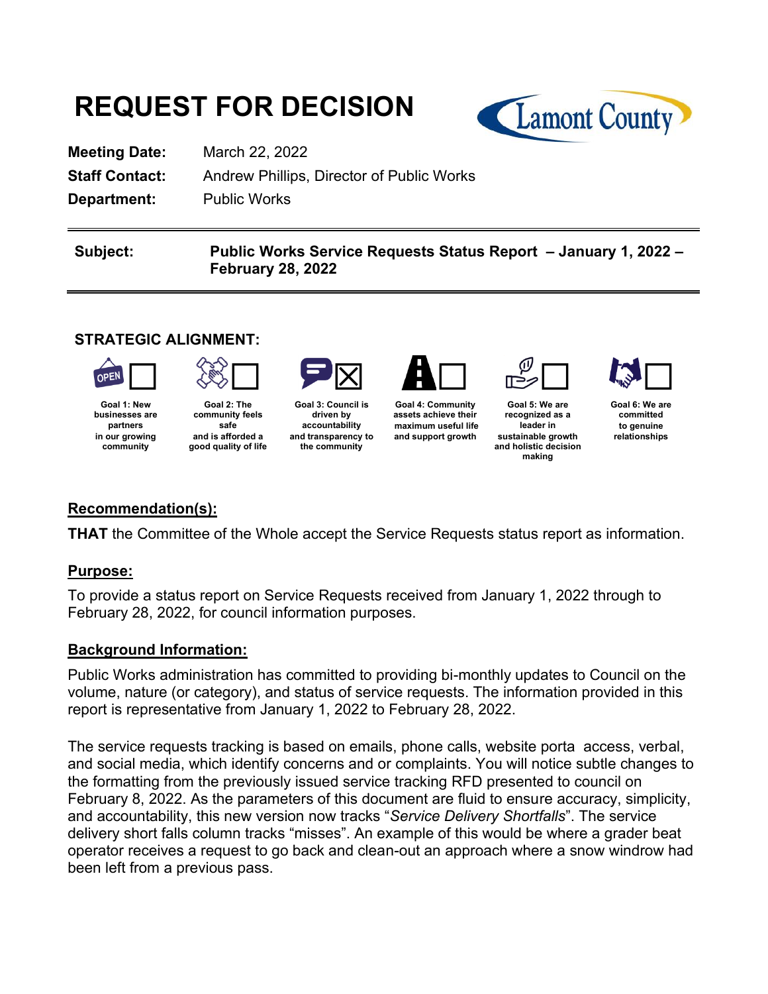# **REQUEST FOR DECISION**



**Meeting Date:** March 22, 2022 **Department:** Public Works

**Staff Contact:** Andrew Phillips, Director of Public Works

**Subject: Public Works Service Requests Status Report – January 1, 2022 – February 28, 2022** 

## **STRATEGIC ALIGNMENT:**



**Goal 1: New businesses are partners in our growing community**



**Goal 2: The community feels safe and is afforded a good quality of life**



**Goal 3: Council is driven by accountability and transparency to the community**



**assets achieve their maximum useful life and support growth**



**Goal 5: We are recognized as a leader in sustainable growth and holistic decision making**



**Goal 6: We are committed to genuine relationships**

## **Recommendation(s):**

**THAT** the Committee of the Whole accept the Service Requests status report as information.

## **Purpose:**

To provide a status report on Service Requests received from January 1, 2022 through to February 28, 2022, for council information purposes.

#### **Background Information:**

Public Works administration has committed to providing bi-monthly updates to Council on the volume, nature (or category), and status of service requests. The information provided in this report is representative from January 1, 2022 to February 28, 2022.

The service requests tracking is based on emails, phone calls, website porta access, verbal, and social media, which identify concerns and or complaints. You will notice subtle changes to the formatting from the previously issued service tracking RFD presented to council on February 8, 2022. As the parameters of this document are fluid to ensure accuracy, simplicity, and accountability, this new version now tracks "*Service Delivery Shortfalls*". The service delivery short falls column tracks "misses". An example of this would be where a grader beat operator receives a request to go back and clean-out an approach where a snow windrow had been left from a previous pass.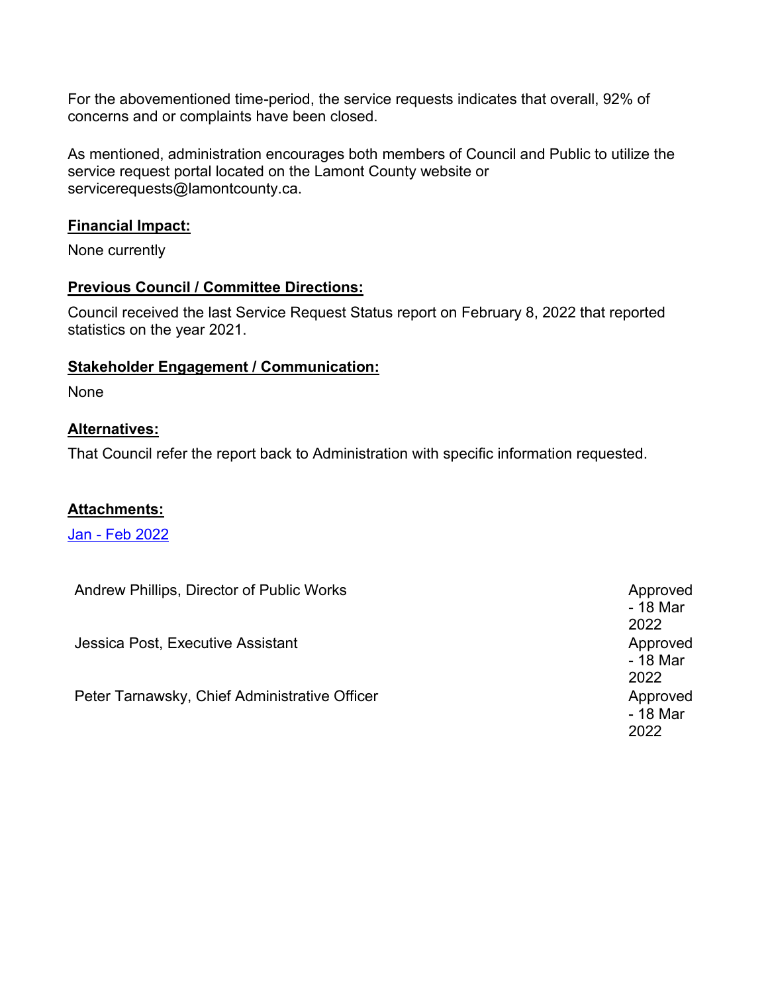For the abovementioned time-period, the service requests indicates that overall, 92% of concerns and or complaints have been closed.

As mentioned, administration encourages both members of Council and Public to utilize the service request portal located on the Lamont County website or servicerequests@lamontcounty.ca.

### **Financial Impact:**

None currently

#### **Previous Council / Committee Directions:**

Council received the last Service Request Status report on February 8, 2022 that reported statistics on the year 2021.

#### **Stakeholder Engagement / Communication:**

None

## **Alternatives:**

That Council refer the report back to Administration with specific information requested.

## **Attachments:**

Jan - [Feb 2022](#page-2-0)

| Andrew Phillips, Director of Public Works     | Approved<br>- 18 Mar<br>2022 |
|-----------------------------------------------|------------------------------|
| Jessica Post, Executive Assistant             | Approved<br>- 18 Mar<br>2022 |
| Peter Tarnawsky, Chief Administrative Officer | Approved<br>- 18 Mar<br>2022 |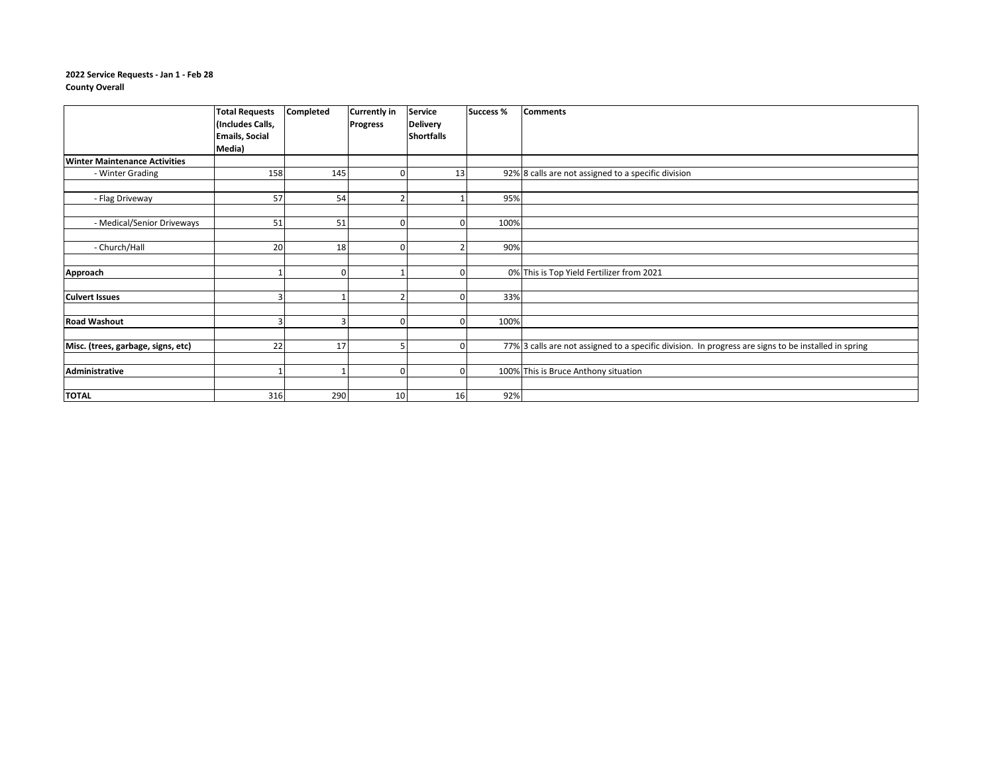#### **2022 Service Requests - Jan 1 - Feb 28 County Overall**

<span id="page-2-0"></span>

|                                      | <b>Total Requests</b><br>(Includes Calls, | Completed    | <b>Currently in</b><br><b>Progress</b> | <b>Service</b><br><b>Delivery</b> | <b>Success %</b> | <b>Comments</b>                                                                                      |
|--------------------------------------|-------------------------------------------|--------------|----------------------------------------|-----------------------------------|------------------|------------------------------------------------------------------------------------------------------|
|                                      | <b>Emails, Social</b>                     |              |                                        | <b>Shortfalls</b>                 |                  |                                                                                                      |
|                                      | Media)                                    |              |                                        |                                   |                  |                                                                                                      |
| <b>Winter Maintenance Activities</b> |                                           |              |                                        |                                   |                  |                                                                                                      |
| - Winter Grading                     | 158                                       | 145          | ŋ                                      | 13                                |                  | 92% 8 calls are not assigned to a specific division                                                  |
|                                      |                                           |              |                                        |                                   |                  |                                                                                                      |
| - Flag Driveway                      | 57                                        | 54           |                                        |                                   | 95%              |                                                                                                      |
|                                      |                                           |              |                                        |                                   |                  |                                                                                                      |
| - Medical/Senior Driveways           | 51                                        | 51           | ſ                                      |                                   | 100%             |                                                                                                      |
|                                      |                                           |              |                                        |                                   |                  |                                                                                                      |
| - Church/Hall                        | 20                                        | 18           |                                        |                                   | 90%              |                                                                                                      |
|                                      |                                           |              |                                        |                                   |                  |                                                                                                      |
| Approach                             |                                           | $\mathbf{0}$ |                                        |                                   |                  | 0% This is Top Yield Fertilizer from 2021                                                            |
|                                      |                                           |              |                                        |                                   |                  |                                                                                                      |
| <b>Culvert Issues</b>                |                                           |              |                                        |                                   | 33%              |                                                                                                      |
|                                      |                                           |              |                                        |                                   |                  |                                                                                                      |
| <b>Road Washout</b>                  | З                                         | 3            | $\Omega$                               | $\Omega$                          | 100%             |                                                                                                      |
|                                      |                                           |              |                                        |                                   |                  |                                                                                                      |
| Misc. (trees, garbage, signs, etc)   | 22                                        | 17           |                                        |                                   |                  | 77% 3 calls are not assigned to a specific division. In progress are signs to be installed in spring |
|                                      |                                           |              |                                        |                                   |                  |                                                                                                      |
| Administrative                       |                                           |              | O                                      |                                   |                  | 100% This is Bruce Anthony situation                                                                 |
|                                      |                                           |              |                                        |                                   |                  |                                                                                                      |
| <b>TOTAL</b>                         | 316                                       | 290          | 10                                     | 16                                | 92%              |                                                                                                      |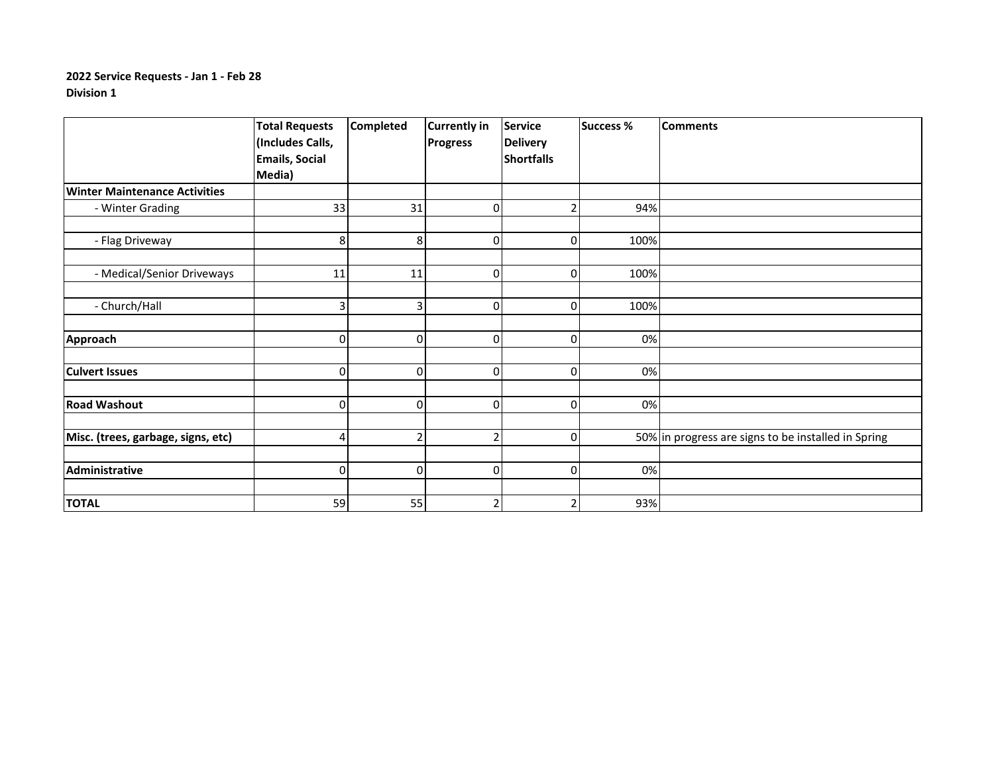|                                      | <b>Total Requests</b> | <b>Completed</b> | <b>Currently in</b> | <b>Service</b>    | <b>Success %</b> | <b>Comments</b>                                     |
|--------------------------------------|-----------------------|------------------|---------------------|-------------------|------------------|-----------------------------------------------------|
|                                      | (Includes Calls,      |                  | <b>Progress</b>     | <b>Delivery</b>   |                  |                                                     |
|                                      | <b>Emails, Social</b> |                  |                     | <b>Shortfalls</b> |                  |                                                     |
|                                      | Media)                |                  |                     |                   |                  |                                                     |
| <b>Winter Maintenance Activities</b> |                       |                  |                     |                   |                  |                                                     |
| - Winter Grading                     | 33                    | 31               | $\Omega$            | $\overline{2}$    | 94%              |                                                     |
|                                      |                       |                  |                     |                   |                  |                                                     |
| - Flag Driveway                      | 8                     | 8                | 0                   | $\pmb{0}$         | 100%             |                                                     |
|                                      |                       |                  |                     |                   |                  |                                                     |
| - Medical/Senior Driveways           | 11                    | 11               | $\mathbf 0$         | $\mathbf 0$       | 100%             |                                                     |
|                                      |                       |                  |                     |                   |                  |                                                     |
| - Church/Hall                        | 31                    | 3                | $\mathbf{0}$        | $\Omega$          | 100%             |                                                     |
|                                      |                       |                  |                     |                   |                  |                                                     |
| Approach                             | $\overline{0}$        | 0                | $\mathbf{0}$        | $\mathbf 0$       | 0%               |                                                     |
|                                      |                       |                  |                     |                   |                  |                                                     |
| <b>Culvert Issues</b>                | $\overline{0}$        | 0                | $\Omega$            | $\mathbf 0$       | 0%               |                                                     |
|                                      |                       |                  |                     |                   |                  |                                                     |
| <b>Road Washout</b>                  | 0                     | 0                | $\Omega$            | $\mathbf 0$       | 0%               |                                                     |
|                                      |                       |                  |                     |                   |                  |                                                     |
| Misc. (trees, garbage, signs, etc)   | 4                     | $\overline{2}$   | 2                   | $\mathbf 0$       |                  | 50% in progress are signs to be installed in Spring |
|                                      |                       |                  |                     |                   |                  |                                                     |
| Administrative                       | $\overline{0}$        | 0                | $\mathbf 0$         | $\mathbf 0$       | 0%               |                                                     |
|                                      |                       |                  |                     |                   |                  |                                                     |
| <b>TOTAL</b>                         | 59                    | 55               | 2                   | 2                 | 93%              |                                                     |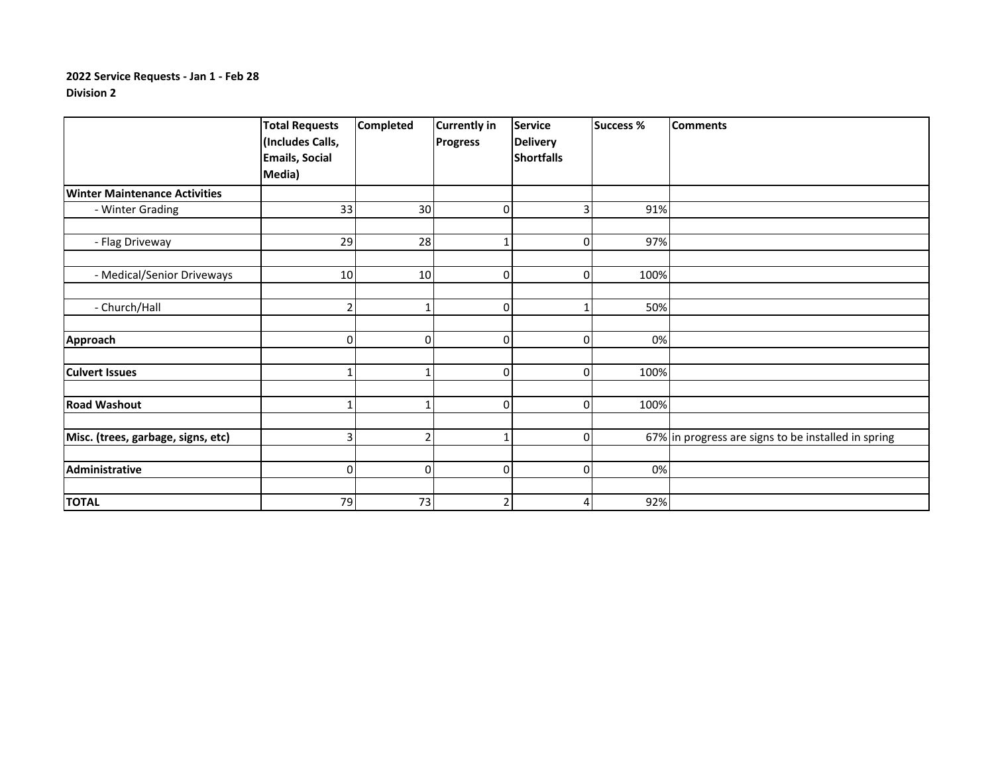|                                      | <b>Total Requests</b> | <b>Completed</b> | <b>Currently in</b> | <b>Service</b>    | <b>Success %</b> | <b>Comments</b>                                     |
|--------------------------------------|-----------------------|------------------|---------------------|-------------------|------------------|-----------------------------------------------------|
|                                      | (Includes Calls,      |                  | <b>Progress</b>     | <b>Delivery</b>   |                  |                                                     |
|                                      | <b>Emails, Social</b> |                  |                     | <b>Shortfalls</b> |                  |                                                     |
|                                      | Media)                |                  |                     |                   |                  |                                                     |
| <b>Winter Maintenance Activities</b> |                       |                  |                     |                   |                  |                                                     |
| - Winter Grading                     | 33                    | 30               | 0                   |                   | 91%              |                                                     |
|                                      |                       |                  |                     |                   |                  |                                                     |
| - Flag Driveway                      | 29                    | 28               | $\mathbf{1}$        | 0                 | 97%              |                                                     |
|                                      |                       |                  |                     |                   |                  |                                                     |
| - Medical/Senior Driveways           | 10                    | 10               | 0                   | 0                 | 100%             |                                                     |
|                                      |                       |                  |                     |                   |                  |                                                     |
| - Church/Hall                        |                       |                  | 0                   |                   | 50%              |                                                     |
|                                      |                       |                  |                     |                   |                  |                                                     |
| Approach                             | 0                     | 0                | 0                   | 0                 | 0%               |                                                     |
|                                      |                       |                  |                     |                   |                  |                                                     |
| <b>Culvert Issues</b>                |                       |                  | 0                   | O                 | 100%             |                                                     |
|                                      |                       |                  |                     |                   |                  |                                                     |
| <b>Road Washout</b>                  |                       |                  | 0                   | $\Omega$          | 100%             |                                                     |
|                                      |                       |                  |                     |                   |                  |                                                     |
| Misc. (trees, garbage, signs, etc)   | ₹                     | $\mathfrak{p}$   | $\mathbf{1}$        | $\Omega$          |                  | 67% in progress are signs to be installed in spring |
|                                      |                       |                  |                     |                   |                  |                                                     |
| Administrative                       | $\Omega$              | 0                | 0                   | 0                 | 0%               |                                                     |
|                                      |                       |                  |                     |                   |                  |                                                     |
| <b>TOTAL</b>                         | 79                    | 73               | 2                   | $\overline{4}$    | 92%              |                                                     |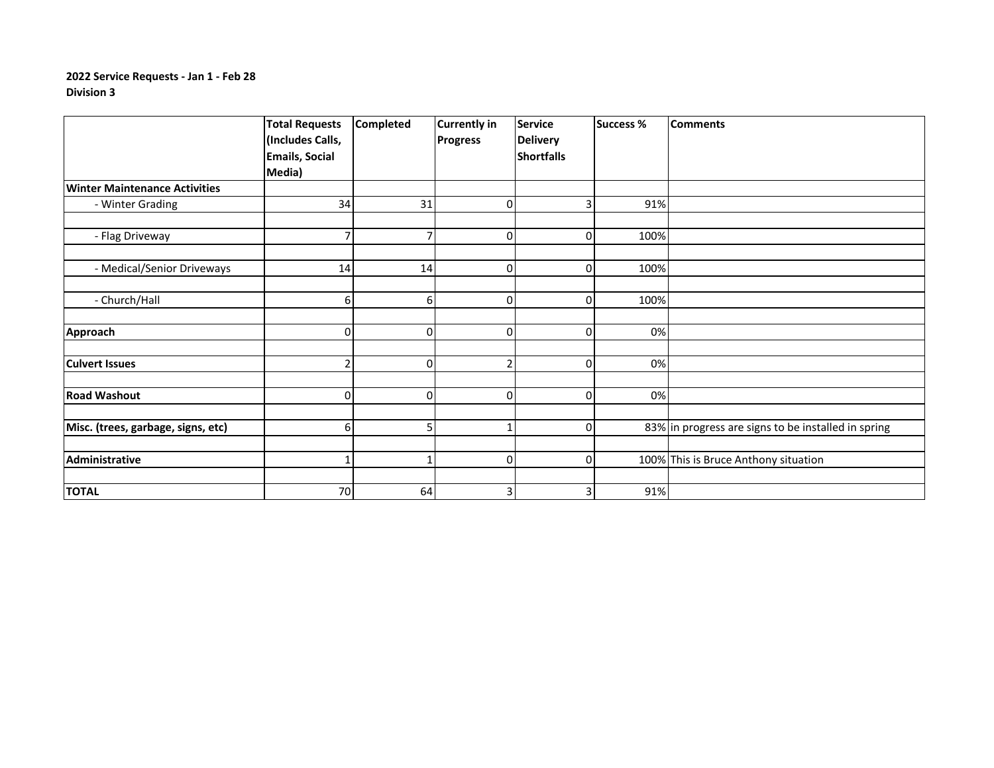|                                      | <b>Total Requests</b><br>(Includes Calls,<br><b>Emails, Social</b><br>Media) | <b>Completed</b> | <b>Currently in</b><br><b>Progress</b> | <b>Service</b><br><b>Delivery</b><br><b>Shortfalls</b> | <b>Success %</b> | <b>Comments</b>                                     |
|--------------------------------------|------------------------------------------------------------------------------|------------------|----------------------------------------|--------------------------------------------------------|------------------|-----------------------------------------------------|
| <b>Winter Maintenance Activities</b> |                                                                              |                  |                                        |                                                        |                  |                                                     |
| - Winter Grading                     | 34                                                                           | 31               | 0                                      | 3                                                      | 91%              |                                                     |
|                                      |                                                                              |                  |                                        |                                                        |                  |                                                     |
| - Flag Driveway                      | 7                                                                            |                  | 0                                      | $\overline{0}$                                         | 100%             |                                                     |
|                                      |                                                                              |                  |                                        |                                                        |                  |                                                     |
| - Medical/Senior Driveways           | 14                                                                           | 14               | 0                                      | $\overline{0}$                                         | 100%             |                                                     |
|                                      |                                                                              |                  |                                        |                                                        |                  |                                                     |
| - Church/Hall                        | 6                                                                            | 6                | 0                                      | 0                                                      | 100%             |                                                     |
| Approach                             | $\overline{0}$                                                               | 0                | $\Omega$                               | $\overline{0}$                                         | 0%               |                                                     |
|                                      |                                                                              |                  |                                        |                                                        |                  |                                                     |
| <b>Culvert Issues</b>                | $\overline{2}$                                                               | $\Omega$         |                                        | $\Omega$                                               | 0%               |                                                     |
| <b>Road Washout</b>                  | $\overline{0}$                                                               | $\Omega$         | $\Omega$                               | $\Omega$                                               | 0%               |                                                     |
|                                      |                                                                              |                  |                                        |                                                        |                  |                                                     |
| Misc. (trees, garbage, signs, etc)   | 6                                                                            | 5                |                                        | $\overline{0}$                                         |                  | 83% in progress are signs to be installed in spring |
| Administrative                       | $\mathbf{1}$                                                                 |                  | 0                                      | $\overline{0}$                                         |                  | 100% This is Bruce Anthony situation                |
| <b>TOTAL</b>                         | 70                                                                           | 64               | 3                                      | $\mathbf{3}$                                           | 91%              |                                                     |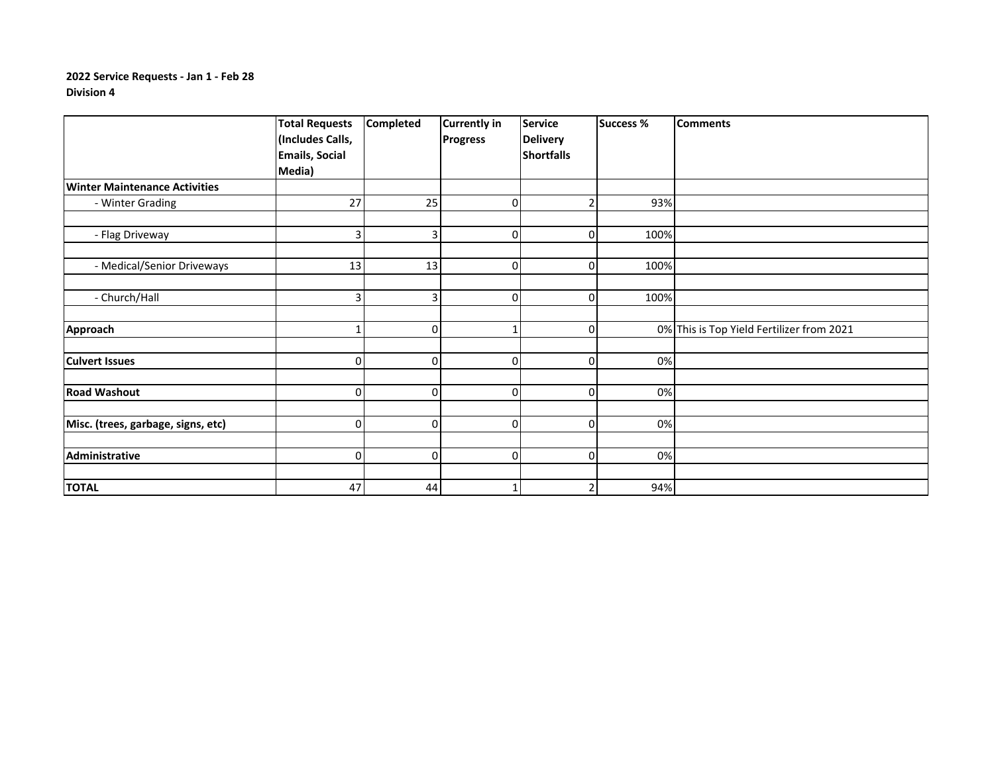|                                      | <b>Total Requests</b> | <b>Completed</b> | <b>Currently in</b> | <b>Service</b>    | <b>Success %</b> | <b>Comments</b>                           |
|--------------------------------------|-----------------------|------------------|---------------------|-------------------|------------------|-------------------------------------------|
|                                      | (Includes Calls,      |                  | <b>Progress</b>     | <b>Delivery</b>   |                  |                                           |
|                                      | <b>Emails, Social</b> |                  |                     | <b>Shortfalls</b> |                  |                                           |
|                                      | Media)                |                  |                     |                   |                  |                                           |
| <b>Winter Maintenance Activities</b> |                       |                  |                     |                   |                  |                                           |
| - Winter Grading                     | 27                    | 25               | 0                   |                   | 93%              |                                           |
|                                      |                       |                  |                     |                   |                  |                                           |
| - Flag Driveway                      | 3                     | $\vert$ 3        |                     | 0                 | 100%             |                                           |
|                                      |                       |                  |                     |                   |                  |                                           |
| - Medical/Senior Driveways           | 13                    | 13               | 0                   | 0                 | 100%             |                                           |
|                                      |                       |                  |                     |                   |                  |                                           |
| - Church/Hall                        | 3                     | $\vert$ 3        | 0                   | $\Omega$          | 100%             |                                           |
|                                      |                       |                  |                     |                   |                  |                                           |
| Approach                             |                       | $\overline{0}$   | 1                   | 0                 |                  | 0% This is Top Yield Fertilizer from 2021 |
|                                      |                       |                  |                     |                   |                  |                                           |
| <b>Culvert Issues</b>                | $\overline{0}$        | $\Omega$         | 0                   | $\Omega$          | 0%               |                                           |
|                                      |                       |                  |                     |                   |                  |                                           |
| <b>Road Washout</b>                  | $\overline{0}$        | $\overline{0}$   | 0                   | 0                 | 0%               |                                           |
|                                      |                       |                  |                     |                   |                  |                                           |
| Misc. (trees, garbage, signs, etc)   | $\overline{0}$        | $\overline{0}$   | $\Omega$            | $\Omega$          | 0%               |                                           |
|                                      |                       |                  |                     |                   |                  |                                           |
| Administrative                       | $\overline{0}$        | $\overline{0}$   | 0                   | $\Omega$          | 0%               |                                           |
|                                      |                       |                  |                     |                   |                  |                                           |
| <b>TOTAL</b>                         | 47                    | 44               |                     |                   | 94%              |                                           |